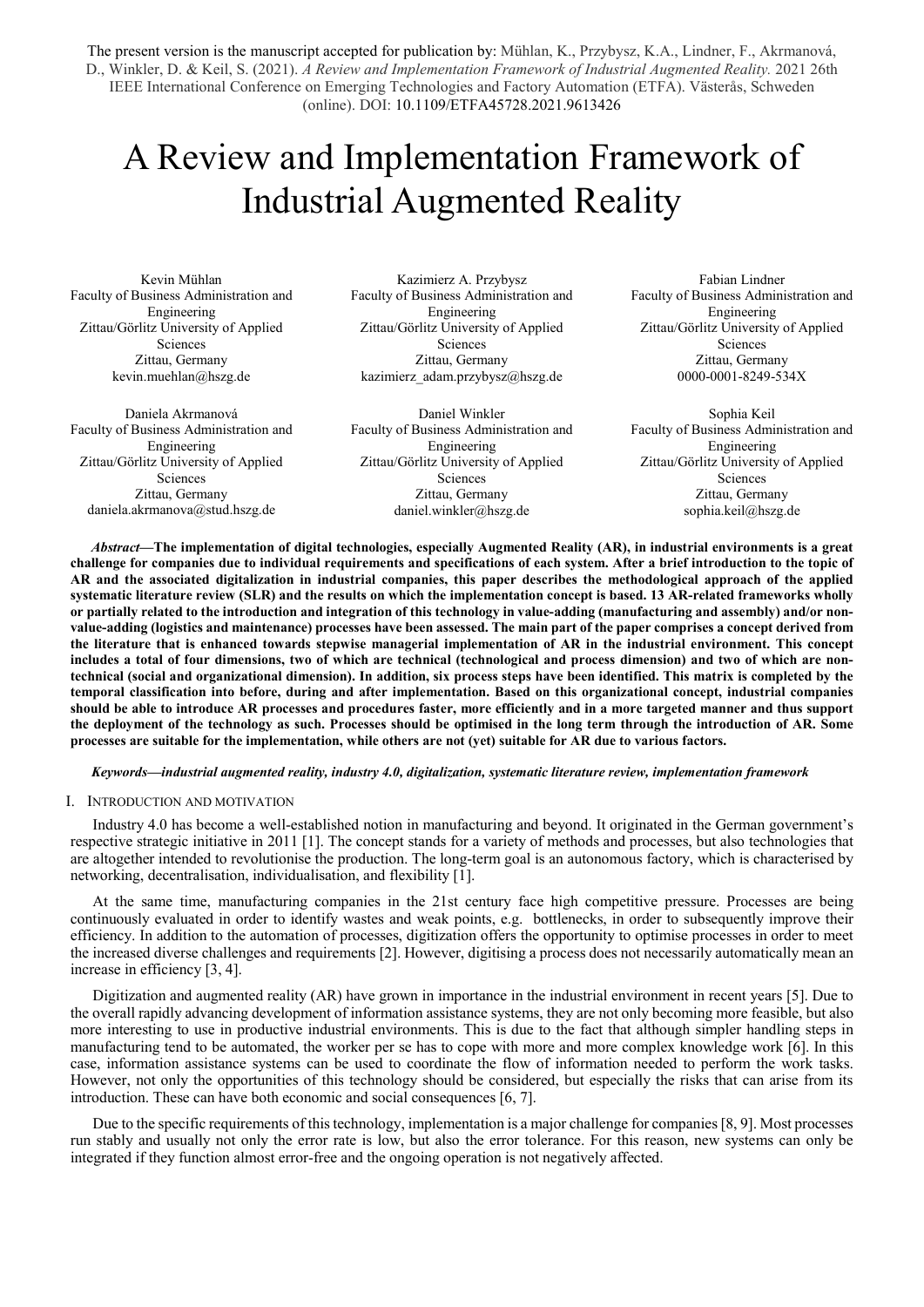The present version is the manuscript accepted for publication by: Mühlan, K., Przybysz, K.A., Lindner, F., Akrmanová, D., Winkler, D. & Keil, S. (2021). *A Review and Implementation Framework of Industrial Augmented Reality.* 2021 26th IEEE International Conference on Emerging Technologies and Factory Automation (ETFA). Västerås, Schweden (online). DOI: 10.1109/ETFA45728.2021.9613426

# A Review and Implementation Framework of Industrial Augmented Reality

Kevin Mühlan Faculty of Business Administration and Engineering Zittau/Görlitz University of Applied Sciences Zittau, Germany kevin.muehlan@hszg.de

Daniela Akrmanová Faculty of Business Administration and Engineering Zittau/Görlitz University of Applied Sciences Zittau, Germany daniela.akrmanova@stud.hszg.de

Kazimierz A. Przybysz Faculty of Business Administration and Engineering Zittau/Görlitz University of Applied Sciences Zittau, Germany kazimierz\_adam.przybysz@hszg.de

Daniel Winkler Faculty of Business Administration and Engineering Zittau/Görlitz University of Applied Sciences Zittau, Germany daniel.winkler@hszg.de

Fabian Lindner Faculty of Business Administration and Engineering Zittau/Görlitz University of Applied Sciences Zittau, Germany 0000-0001-8249-534X

Sophia Keil Faculty of Business Administration and Engineering Zittau/Görlitz University of Applied Sciences Zittau, Germany sophia.keil@hszg.de

*Abstract***—The implementation of digital technologies, especially Augmented Reality (AR), in industrial environments is a great challenge for companies due to individual requirements and specifications of each system. After a brief introduction to the topic of AR and the associated digitalization in industrial companies, this paper describes the methodological approach of the applied systematic literature review (SLR) and the results on which the implementation concept is based. 13 AR-related frameworks wholly or partially related to the introduction and integration of this technology in value-adding (manufacturing and assembly) and/or nonvalue-adding (logistics and maintenance) processes have been assessed. The main part of the paper comprises a concept derived from the literature that is enhanced towards stepwise managerial implementation of AR in the industrial environment. This concept includes a total of four dimensions, two of which are technical (technological and process dimension) and two of which are nontechnical (social and organizational dimension). In addition, six process steps have been identified. This matrix is completed by the temporal classification into before, during and after implementation. Based on this organizational concept, industrial companies should be able to introduce AR processes and procedures faster, more efficiently and in a more targeted manner and thus support the deployment of the technology as such. Processes should be optimised in the long term through the introduction of AR. Some processes are suitable for the implementation, while others are not (yet) suitable for AR due to various factors.**

### *Keywords—industrial augmented reality, industry 4.0, digitalization, systematic literature review, implementation framework*

#### I. INTRODUCTION AND MOTIVATION

Industry 4.0 has become a well-established notion in manufacturing and beyond. It originated in the German government's respective strategic initiative in 2011 [1]. The concept stands for a variety of methods and processes, but also technologies that are altogether intended to revolutionise the production. The long-term goal is an autonomous factory, which is characterised by networking, decentralisation, individualisation, and flexibility [1].

At the same time, manufacturing companies in the 21st century face high competitive pressure. Processes are being continuously evaluated in order to identify wastes and weak points, e.g. bottlenecks, in order to subsequently improve their efficiency. In addition to the automation of processes, digitization offers the opportunity to optimise processes in order to meet the increased diverse challenges and requirements [2]. However, digitising a process does not necessarily automatically mean an increase in efficiency [3, 4].

Digitization and augmented reality (AR) have grown in importance in the industrial environment in recent years [5]. Due to the overall rapidly advancing development of information assistance systems, they are not only becoming more feasible, but also more interesting to use in productive industrial environments. This is due to the fact that although simpler handling steps in manufacturing tend to be automated, the worker per se has to cope with more and more complex knowledge work [6]. In this case, information assistance systems can be used to coordinate the flow of information needed to perform the work tasks. However, not only the opportunities of this technology should be considered, but especially the risks that can arise from its introduction. These can have both economic and social consequences [6, 7].

Due to the specific requirements of this technology, implementation is a major challenge for companies [8, 9]. Most processes run stably and usually not only the error rate is low, but also the error tolerance. For this reason, new systems can only be integrated if they function almost error-free and the ongoing operation is not negatively affected.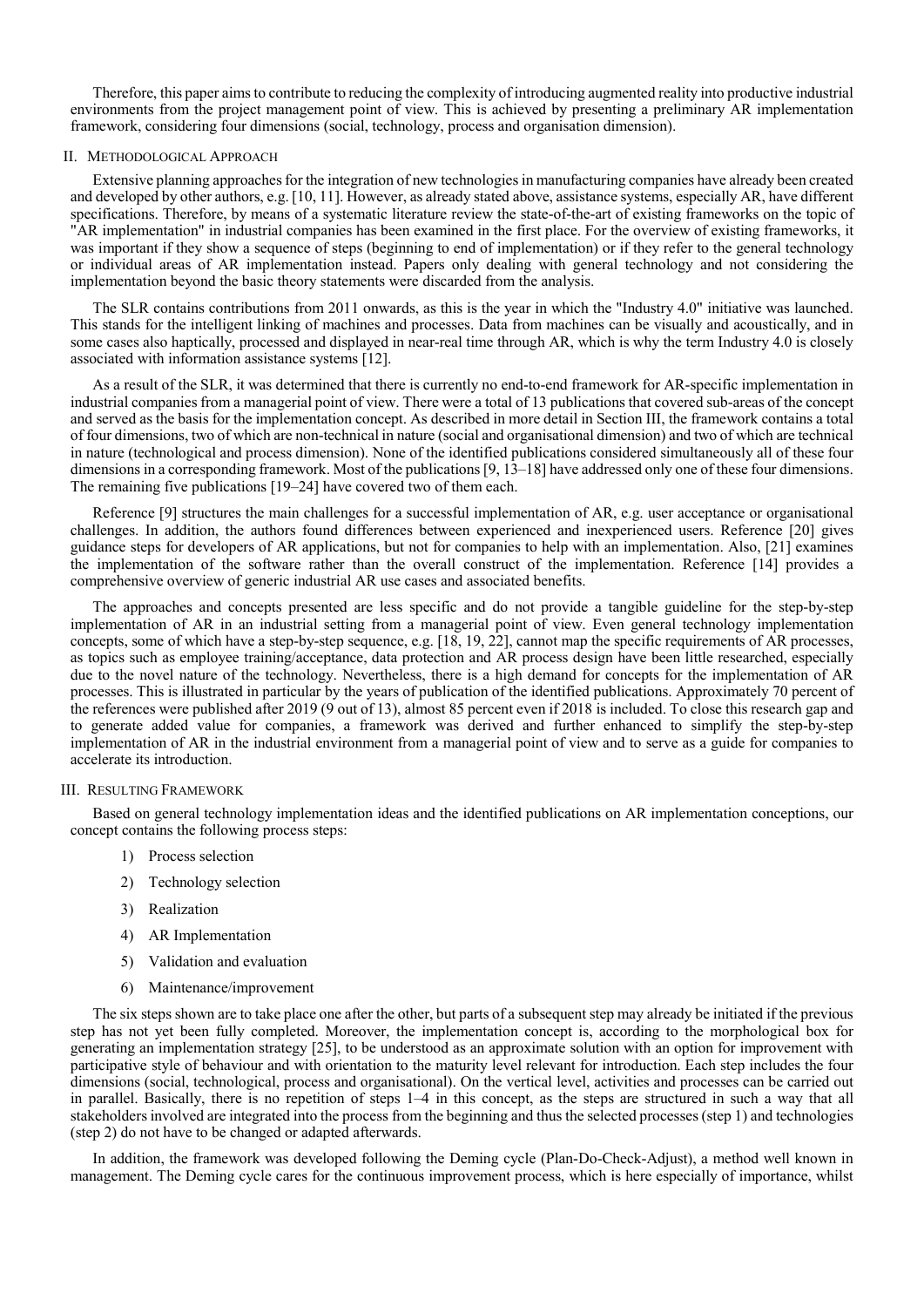Therefore, this paper aims to contribute to reducing the complexity of introducing augmented reality into productive industrial environments from the project management point of view. This is achieved by presenting a preliminary AR implementation framework, considering four dimensions (social, technology, process and organisation dimension).

#### II. METHODOLOGICAL APPROACH

Extensive planning approaches for the integration of new technologies in manufacturing companies have already been created and developed by other authors, e.g. [10, 11]. However, as already stated above, assistance systems, especially AR, have different specifications. Therefore, by means of a systematic literature review the state-of-the-art of existing frameworks on the topic of "AR implementation" in industrial companies has been examined in the first place. For the overview of existing frameworks, it was important if they show a sequence of steps (beginning to end of implementation) or if they refer to the general technology or individual areas of AR implementation instead. Papers only dealing with general technology and not considering the implementation beyond the basic theory statements were discarded from the analysis.

The SLR contains contributions from 2011 onwards, as this is the year in which the "Industry 4.0" initiative was launched. This stands for the intelligent linking of machines and processes. Data from machines can be visually and acoustically, and in some cases also haptically, processed and displayed in near-real time through AR, which is why the term Industry 4.0 is closely associated with information assistance systems [12].

As a result of the SLR, it was determined that there is currently no end-to-end framework for AR-specific implementation in industrial companies from a managerial point of view. There were a total of 13 publications that covered sub-areas of the concept and served as the basis for the implementation concept. As described in more detail in Section III, the framework contains a total of four dimensions, two of which are non-technical in nature (social and organisational dimension) and two of which are technical in nature (technological and process dimension). None of the identified publications considered simultaneously all of these four dimensions in a corresponding framework. Most of the publications [9, 13–18] have addressed only one of these four dimensions. The remaining five publications [19–24] have covered two of them each.

Reference [9] structures the main challenges for a successful implementation of AR, e.g. user acceptance or organisational challenges. In addition, the authors found differences between experienced and inexperienced users. Reference [20] gives guidance steps for developers of AR applications, but not for companies to help with an implementation. Also, [21] examines the implementation of the software rather than the overall construct of the implementation. Reference [14] provides a comprehensive overview of generic industrial AR use cases and associated benefits.

The approaches and concepts presented are less specific and do not provide a tangible guideline for the step-by-step implementation of AR in an industrial setting from a managerial point of view. Even general technology implementation concepts, some of which have a step-by-step sequence, e.g. [18, 19, 22], cannot map the specific requirements of AR processes, as topics such as employee training/acceptance, data protection and AR process design have been little researched, especially due to the novel nature of the technology. Nevertheless, there is a high demand for concepts for the implementation of AR processes. This is illustrated in particular by the years of publication of the identified publications. Approximately 70 percent of the references were published after 2019 (9 out of 13), almost 85 percent even if 2018 is included. To close this research gap and to generate added value for companies, a framework was derived and further enhanced to simplify the step-by-step implementation of AR in the industrial environment from a managerial point of view and to serve as a guide for companies to accelerate its introduction.

#### III. RESULTING FRAMEWORK

Based on general technology implementation ideas and the identified publications on AR implementation conceptions, our concept contains the following process steps:

- 1) Process selection
- 2) Technology selection
- 3) Realization
- 4) AR Implementation
- 5) Validation and evaluation
- 6) Maintenance/improvement

The six steps shown are to take place one after the other, but parts of a subsequent step may already be initiated if the previous step has not yet been fully completed. Moreover, the implementation concept is, according to the morphological box for generating an implementation strategy [25], to be understood as an approximate solution with an option for improvement with participative style of behaviour and with orientation to the maturity level relevant for introduction. Each step includes the four dimensions (social, technological, process and organisational). On the vertical level, activities and processes can be carried out in parallel. Basically, there is no repetition of steps 1–4 in this concept, as the steps are structured in such a way that all stakeholders involved are integrated into the process from the beginning and thus the selected processes (step 1) and technologies (step 2) do not have to be changed or adapted afterwards.

In addition, the framework was developed following the Deming cycle (Plan-Do-Check-Adjust), a method well known in management. The Deming cycle cares for the continuous improvement process, which is here especially of importance, whilst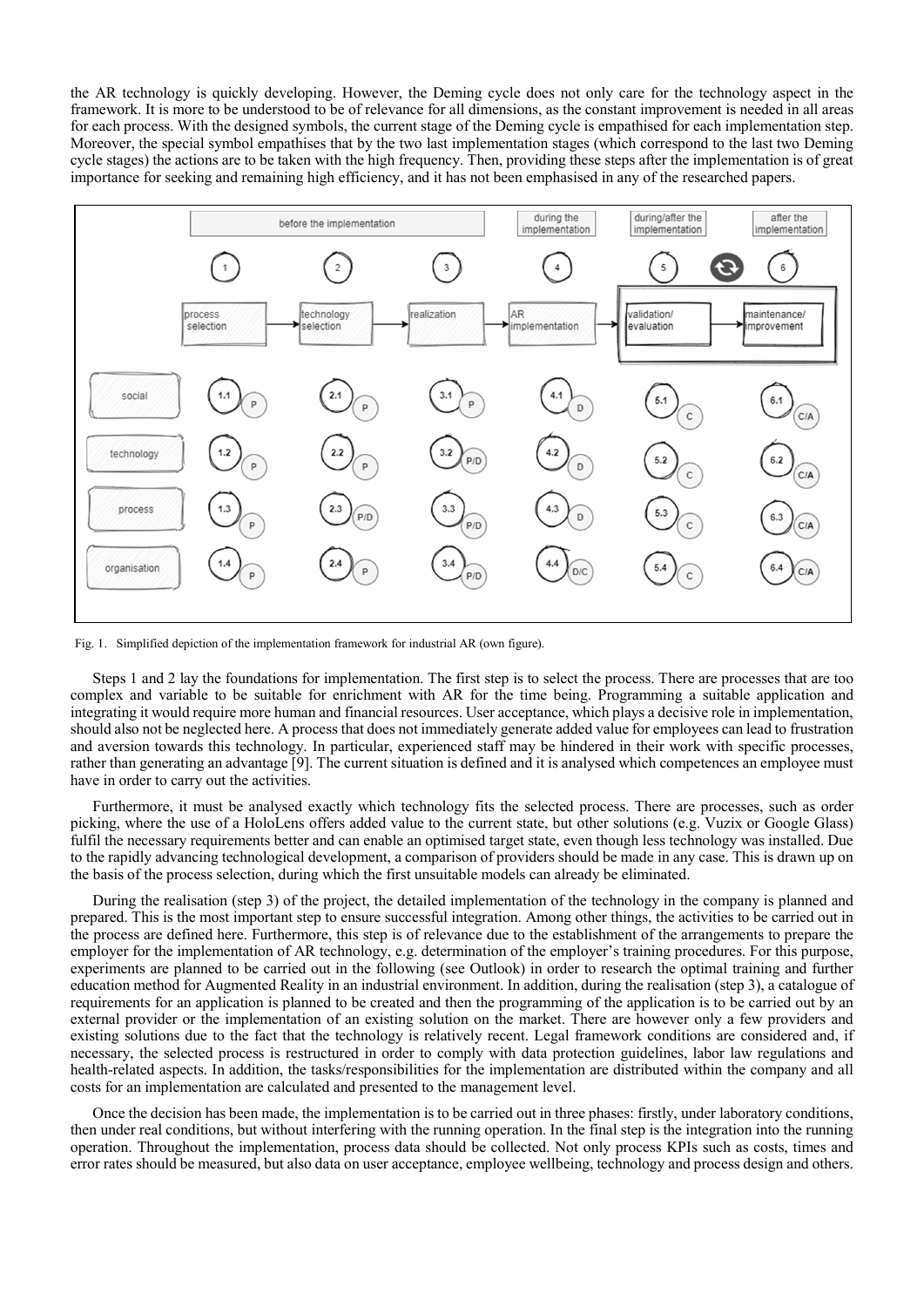the AR technology is quickly developing. However, the Deming cycle does not only care for the technology aspect in the framework. It is more to be understood to be of relevance for all dimensions, as the constant improvement is needed in all areas for each process. With the designed symbols, the current stage of the Deming cycle is empathised for each implementation step. Moreover, the special symbol empathises that by the two last implementation stages (which correspond to the last two Deming cycle stages) the actions are to be taken with the high frequency. Then, providing these steps after the implementation is of great importance for seeking and remaining high efficiency, and it has not been emphasised in any of the researched papers.



Fig. 1. Simplified depiction of the implementation framework for industrial AR (own figure).

Steps 1 and 2 lay the foundations for implementation. The first step is to select the process. There are processes that are too complex and variable to be suitable for enrichment with AR for the time being. Programming a suitable application and integrating it would require more human and financial resources. User acceptance, which plays a decisive role in implementation, should also not be neglected here. A process that does not immediately generate added value for employees can lead to frustration and aversion towards this technology. In particular, experienced staff may be hindered in their work with specific processes, rather than generating an advantage [9]. The current situation is defined and it is analysed which competences an employee must have in order to carry out the activities.

Furthermore, it must be analysed exactly which technology fits the selected process. There are processes, such as order picking, where the use of a HoloLens offers added value to the current state, but other solutions (e.g. Vuzix or Google Glass) fulfil the necessary requirements better and can enable an optimised target state, even though less technology was installed. Due to the rapidly advancing technological development, a comparison of providers should be made in any case. This is drawn up on the basis of the process selection, during which the first unsuitable models can already be eliminated.

During the realisation (step 3) of the project, the detailed implementation of the technology in the company is planned and prepared. This is the most important step to ensure successful integration. Among other things, the activities to be carried out in the process are defined here. Furthermore, this step is of relevance due to the establishment of the arrangements to prepare the employer for the implementation of AR technology, e.g. determination of the employer's training procedures. For this purpose, experiments are planned to be carried out in the following (see Outlook) in order to research the optimal training and further education method for Augmented Reality in an industrial environment. In addition, during the realisation (step 3), a catalogue of requirements for an application is planned to be created and then the programming of the application is to be carried out by an external provider or the implementation of an existing solution on the market. There are however only a few providers and existing solutions due to the fact that the technology is relatively recent. Legal framework conditions are considered and, if necessary, the selected process is restructured in order to comply with data protection guidelines, labor law regulations and health-related aspects. In addition, the tasks/responsibilities for the implementation are distributed within the company and all costs for an implementation are calculated and presented to the management level.

Once the decision has been made, the implementation is to be carried out in three phases: firstly, under laboratory conditions, then under real conditions, but without interfering with the running operation. In the final step is the integration into the running operation. Throughout the implementation, process data should be collected. Not only process KPIs such as costs, times and error rates should be measured, but also data on user acceptance, employee wellbeing, technology and process design and others.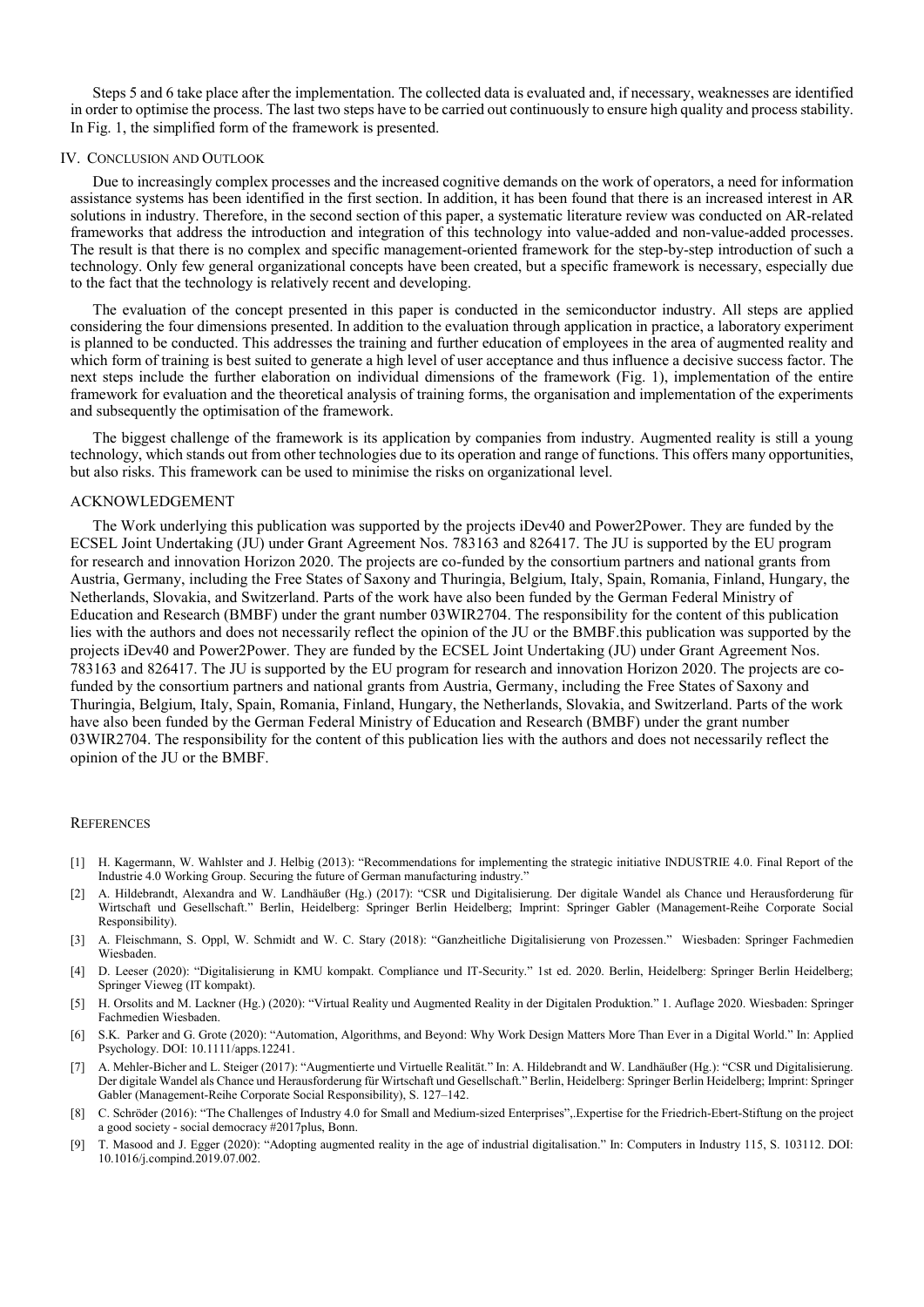Steps 5 and 6 take place after the implementation. The collected data is evaluated and, if necessary, weaknesses are identified in order to optimise the process. The last two steps have to be carried out continuously to ensure high quality and process stability. In Fig. 1, the simplified form of the framework is presented.

#### IV. CONCLUSION AND OUTLOOK

Due to increasingly complex processes and the increased cognitive demands on the work of operators, a need for information assistance systems has been identified in the first section. In addition, it has been found that there is an increased interest in AR solutions in industry. Therefore, in the second section of this paper, a systematic literature review was conducted on AR-related frameworks that address the introduction and integration of this technology into value-added and non-value-added processes. The result is that there is no complex and specific management-oriented framework for the step-by-step introduction of such a technology. Only few general organizational concepts have been created, but a specific framework is necessary, especially due to the fact that the technology is relatively recent and developing.

The evaluation of the concept presented in this paper is conducted in the semiconductor industry. All steps are applied considering the four dimensions presented. In addition to the evaluation through application in practice, a laboratory experiment is planned to be conducted. This addresses the training and further education of employees in the area of augmented reality and which form of training is best suited to generate a high level of user acceptance and thus influence a decisive success factor. The next steps include the further elaboration on individual dimensions of the framework (Fig. 1), implementation of the entire framework for evaluation and the theoretical analysis of training forms, the organisation and implementation of the experiments and subsequently the optimisation of the framework.

The biggest challenge of the framework is its application by companies from industry. Augmented reality is still a young technology, which stands out from other technologies due to its operation and range of functions. This offers many opportunities, but also risks. This framework can be used to minimise the risks on organizational level.

## ACKNOWLEDGEMENT

The Work underlying this publication was supported by the projects iDev40 and Power2Power. They are funded by the ECSEL Joint Undertaking (JU) under Grant Agreement Nos. 783163 and 826417. The JU is supported by the EU program for research and innovation Horizon 2020. The projects are co-funded by the consortium partners and national grants from Austria, Germany, including the Free States of Saxony and Thuringia, Belgium, Italy, Spain, Romania, Finland, Hungary, the Netherlands, Slovakia, and Switzerland. Parts of the work have also been funded by the German Federal Ministry of Education and Research (BMBF) under the grant number 03WIR2704. The responsibility for the content of this publication lies with the authors and does not necessarily reflect the opinion of the JU or the BMBF.this publication was supported by the projects iDev40 and Power2Power. They are funded by the ECSEL Joint Undertaking (JU) under Grant Agreement Nos. 783163 and 826417. The JU is supported by the EU program for research and innovation Horizon 2020. The projects are cofunded by the consortium partners and national grants from Austria, Germany, including the Free States of Saxony and Thuringia, Belgium, Italy, Spain, Romania, Finland, Hungary, the Netherlands, Slovakia, and Switzerland. Parts of the work have also been funded by the German Federal Ministry of Education and Research (BMBF) under the grant number 03WIR2704. The responsibility for the content of this publication lies with the authors and does not necessarily reflect the opinion of the JU or the BMBF.

#### **REFERENCES**

- [1] H. Kagermann, W. Wahlster and J. Helbig (2013): "Recommendations for implementing the strategic initiative INDUSTRIE 4.0. Final Report of the Industrie 4.0 Working Group. Securing the future of German manufacturing industry."
- [2] A. Hildebrandt, Alexandra and W. Landhäußer (Hg.) (2017): "CSR und Digitalisierung. Der digitale Wandel als Chance und Herausforderung für Wirtschaft und Gesellschaft." Berlin, Heidelberg: Springer Berlin Heidelberg; Imprint: Springer Gabler (Management-Reihe Corporate Social Responsibility).
- [3] A. Fleischmann, S. Oppl, W. Schmidt and W. C. Stary (2018): "Ganzheitliche Digitalisierung von Prozessen." Wiesbaden: Springer Fachmedien Wiesbaden.
- [4] D. Leeser (2020): "Digitalisierung in KMU kompakt. Compliance und IT-Security." 1st ed. 2020. Berlin, Heidelberg: Springer Berlin Heidelberg; Springer Vieweg (IT kompakt).
- [5] H. Orsolits and M. Lackner (Hg.) (2020): "Virtual Reality und Augmented Reality in der Digitalen Produktion." 1. Auflage 2020. Wiesbaden: Springer Fachmedien Wiesbaden.
- [6] S.K. Parker and G. Grote (2020): "Automation, Algorithms, and Beyond: Why Work Design Matters More Than Ever in a Digital World." In: Applied Psychology. DOI: 10.1111/apps.12241.
- [7] A. Mehler-Bicher and L. Steiger (2017): "Augmentierte und Virtuelle Realität." In: A. Hildebrandt and W. Landhäußer (Hg.): "CSR und Digitalisierung. Der digitale Wandel als Chance und Herausforderung für Wirtschaft und Gesellschaft." Berlin, Heidelberg: Springer Berlin Heidelberg; Imprint: Springer Gabler (Management-Reihe Corporate Social Responsibility), S. 127–142.
- [8] C. Schröder (2016): "The Challenges of Industry 4.0 for Small and Medium-sized Enterprises",.Expertise for the Friedrich-Ebert-Stiftung on the project a good society - social democracy #2017plus, Bonn.
- [9] T. Masood and J. Egger (2020): "Adopting augmented reality in the age of industrial digitalisation." In: Computers in Industry 115, S. 103112. DOI: 10.1016/j.compind.2019.07.002.